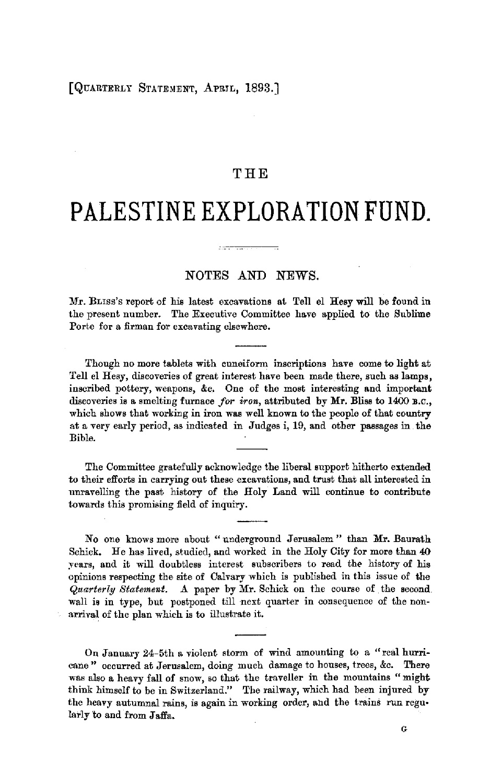## THE

# **PALESTINE EXPLORATION FUND.**

## NOTES AND NEWS.

Mr. BLrss's report of his latest excavations at Tell el Hesy will be found in the present number. The Executive Committee have applied to the Sublime Porte for a firman for excavating elsewhere.

Though no more tablets with cuneiform inscriptions have come to light at Tell el Hesy, discoveries of great interest have been made there, such as lamps, inscribed pottery, weapons, &c. One of the most interesting and important discoveries is a smelting furnace *for iron*, attributed by Mr. Bliss to 1400 B.C., which shows that working in iron was well known to the people of that country at a very early period, as indicated in Judges i, 19, and other passages in the Bible.

The Committee gratefully acknowledge the liberal support hitherto extended to their efforts in carrying out these excavations, and trust that all interested in unravelling the past history of the Holy Land will continue to contribute towards this promising field of inquiry.

No one knows more about "underground Jerusalem" than Mr. Baurath Schick. He has lived, studied, and worked in the Holy City for more than 40 years, and it will doubtless interest subscribers to read the history of his opinions respecting the site of Calvary which is published in this issue of the *Quarterly Statement.* .A paper by Mr. Schick on the course of the second. wall is in type, but postponed till next quarter in consequence of the nonarrival of the plan which is to illustrate it.

On January 24-5th a violent storm of wind amounting to a "real hurricane» occurred at Jerusalem, doing much damage to houses, trees, &c. There was also a heavy fall of snow, so that the traveller in the mountains "might think himself to be in Switzerland." The railway, which had been injured by the heavy autumnal rains, is again in working order, ahd the trains run regu• larly to and from Jaffa.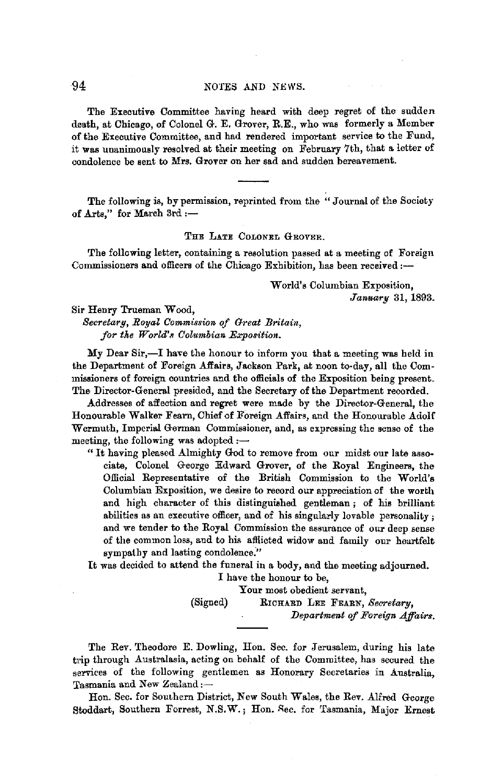## 94 NOTES AND NEWS.

The Executive Committee having heard with deep regret of the sudden death, at Chicago, of Colonel G. E. Grover, R.E., who was formerly a Member of the Executive Committee, and had rendered important service to the Fund, it was unanimously resolved at their meeting on February 7th, that a letter of condolence be sent to Mrs. Grover on her sad and sudden bereavement.

The following is, by permission, reprinted from the "Journal of the Society of Arts," for March 3rd :-

#### THE LATE COLONEL GROVER.

The following letter, containing a resolution passed at a meeting of Foraign Commissioners and officers of the Chicago Exhibition, has been received:-

> **W** orld's Columbian Exposition, *January* 31, 1893.

#### Sir Henry Trueman Wood,

*Secretarg, Royal Commission of Great Britain,*  for the World's Columbian Exposition.

My Dear Sir,-I have the honour to inform you that a meeting was held in the Department of Foreign Affairs, Jackson Park, at noon to-day, all the Commissioners of foreign countries and the officials of the Exposition being present. The Director-General presided, and the Secretary of the Department recorded.

Addresses of affection and regret were made by the Director-General, the Honourable Walker Fearn, Chief of Foreign Affairs, and the Honourable Adolf Wermuth, Imperial German Commissioner, and, as expressing the sense of the meeting, the following was adopted  $:$ --

" It having pleased Almighty God to remove from our midst our late associate, Colonel George Edward Grover, of the Royal Engineers, the Official Representative of the British Commission to the World's Columbian Exposition, we desire to record our appreciation of the worth and high character of this distinguished gentleman ; of his brilliant abilities as an executive officer, and of his singularly lovable personality; and we tender to the Royal Commission the assurance of our deep sense of the common loss, and to his afflicted widow and family our heartfelt sympathy and lasting condolence."

It was decided to attend the funeral in a body, and the meeting adjourned.

I have the honour to be,

Your most obedient servant,

(Signed) RICHARD LEE FEARN, *Secretary, Department of Foreign Affairs.* 

The Rev. Theodore E. Dowling, Hon. Sec. for Jerusalem, during his late trip through Australasia, acting on behalf of the Committee, has secured the services of the following gentlemen as Honorary Secretaries in Australia, Tasmania and New Zealand :-

Hon. Sec. for Southern District, New South Wales, the Rev. Alfred George Stoddart, Southern Forrest, N.S.W.; Hon. Sec. for Tasmania, Major Ernest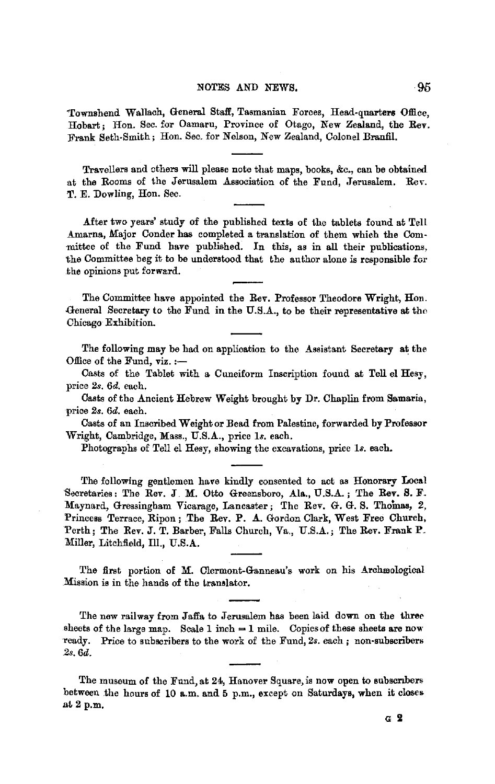#### NOTES AND NEWS. 95

'Townshend Wallach, General Staff, Tasmanian Forces, Head-quarters Office, Hobart; Hon. Sec. for Oamaru, Province of Otago, New Zealand, the Rev. Frank Seth-Smith; Hon. Sec. for Nelson, New Zealand, Colonel Branfil.

Travellers and others will please note that maps, books, &c., can be obtained at the Rooms of the Jerusalem Association of the Fund, Jerusalem. Rev. **T.** E. Dowling, Hon. Sec.

After two years' study of the published texts of the tablets found at Tell .A.marna, Major Conder **has** completed a translation of them which the Com - -mittee of the Fund have published. In this, as in all their publications, the Committee beg it to be understood that the author alone is responsible for .the opinions put forward.

The Committee have appointed the Rev. Professor Theodore Wright, Hon. {1-eneral Secretary to the Fund in the U.S.A., to be their representative at the Chicago Exhibition.

The following may be had on application to the Assistant Secretary **at** the Office of the Fund,  $\mathbf{viz}$ . :-

Casts of the Tablet with a Cuneiform Inscription found at Tell el Hesy, price 2s. 6d. each.

Casts of the Ancient Hebrew Weight brought by Dr. Chaplin from Samaria, price 2s. 6d. each.

Casts of an Inscribed Weight or Bead from Palestine, forwarded by Professor Wright, Cambridge, Mass., U.S.A., price ls. each.

Photographs of Tell el Hesy, showing the excavations, price ls. each.

The following gentlemen have kindly consented to act as Honorary Local Secretaries: The Rev. J. M. Otto Greensboro, Ala., U.S.A.; The Rev. S. F. Maynard, Gressingham Vicarage, Lancaster; The Rev. G. G. S. Thomas, 2, Princess Terrace, Ripon; The Rev. P. A. Gordon Clark, West Free Church, Perth; The Rev. J. T. Barber, Falls Church, Va., U.S.A.; The Rev. Frank P. Miller, Litchfield, Ill., U.S.A.

The first portion of M. Clermont-Ganneau's work on his Archæological .Mission is in the hands of the translator.

The new railway from Jaffa to Jerusalem has been laid down on the three sheets of the large map. Scale 1 inch  $= 1$  mile. Copies of these sheets are now Teady. Price to subscribers to the work of the Fund, *2s.* each; non-subscribers 2s.6d.

The museum of the Fund, at 24, Hanover Square, is now open to eubscnbers between the hours of 10 a.m. and 5 p.m., except on Saturdays, when it closes at2p.m.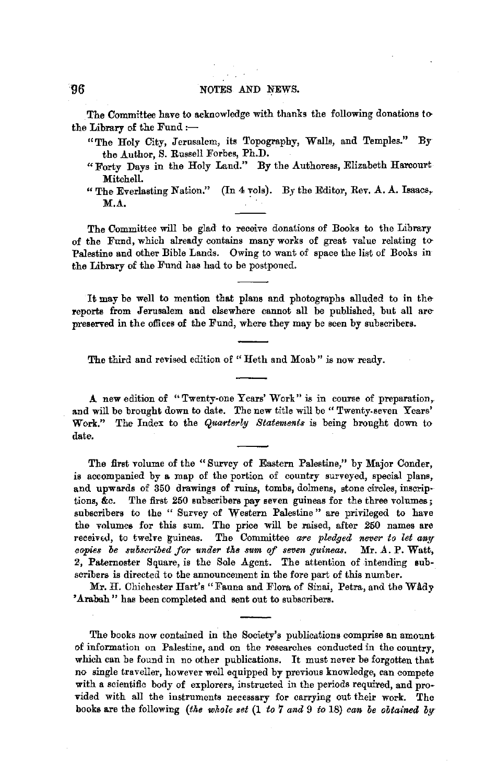The Committee have to acknowledge with thanks the following donations to the Library of the Fund  $:$ ---

- "The Holy City, Jerusalem, its Topography, Walls, and Temples." By the Author, S. Russell Forbes, Ph.D.
- "Forty Days in the Holy Land." By the Authoress, Elizabeth Harcourt Mitchell.
- "The Everlasting Nation." (In 4 vols). By the Editor, Rev. A. A. Isaacs, M.A.

The Committee will be glad to receive donations of Books to the Library of the Fund, which already contains many works of great value relating to Palestine and other Bible Lands. Owing to want of space the list of Books in the Library of the Fund has had to be postponed.

It may be well to mention that plans and photographs alluded to in thereports from Jerusalem and elsewhere cannot all be published, but all arepreserved in the offices of the Fund, where they may be seen by subscribers.

The third and revised edition of "Heth and Moab" is now ready.

A new edition of "Twenty-one Years' Work" is in course of preparation, and will be brought down to date. The new title will be" Twenty.seven Years' Work." The Index to the *Quarterly Statements* is being brought down to date.

The first volume of the "Survey of Eastern Palestine," by Major Conder, is accompanied by a map of the portion of country surveyed, special plans, and upwards of 350 drawings of ruins, tombs, dolmens, stone circles, inscriptions, &c. The first 250 subscribers pay seven guineas for the three volumes; subscribers to the " Survey of Western Palestine " are privileged to have the volumes for this sum. The price will be raised, after 250 names are received, to twelve guineas. The Committee are pledged never to let any *copies be subscribed for under the sum of seven guineas.* Mr. A. P. Watt, 2, Paternoster Square, is the Sole Agent. The attention of intending subscribers is directed to the announcement in the fore part of this number.

Mr. H. Chichester Hart's "Fauna and Flora of Sinai, Petra, and the WAdy 'Arabah" has been completed and sent out to subscribers.

The books now contained in the Society's publications comprise an amount of information on Palestine, and on the researches conducted in the country, which can be found in no other publications. It must never be forgotten that no single traveller, however well equipped by previous knowledge, can compete with a scientific body of explorers, instructed in the periods required, and provided with all the instruments necessary for carrying out their work. The books are the following *(the whole set* (1 *to* 7 *and* 9 *to* 18) *ean be obtained by*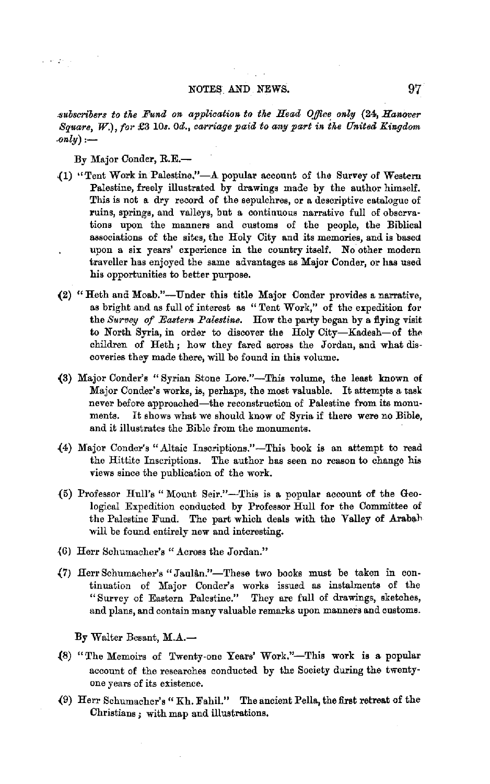## NOTES AND NEWS. 97

*ct1ubscribers ta the Fund on application to the Head Ojffo~ only* (24, *Hanover Square,* W.), *for* £3 10s. *Od., carriage paid to any part in the United Kingdom*   $\cdot$ *only*) :—

By Major Conder, R.E.-

 $\omega$  , we are  $\omega$ 

- $(1)$  "Tent Work in Palestine."-A popular account of the Survey of Western Palestine, freely illustrated by drawings made by the author himself. This is not e. dry record of the sepulchres, or **a** descriptive catalogue of ruins, springs, and valleys, but a continuous narrative full of observations upon the manners and customs of the people, the Biblical associations of the sites, the Holy City and its memories, and is based upon a six years' experience in the country itself. No other modern traveller has enjoyed the same advantages as Major Conder, or has used his opportunities to better purpose.
- (2) "Heth and Moab."-Under this title Major Conder provides a narrative, as bright and as full of interest as "Tent Work," of the expedition for the *Survey of Eastern Palestine*. How the party began by a flying visit to North Syria, in order to discover the Holy City-Kadesh-of the children of Heth ; how they fared across the Jordan, and what discoveries they made there, will be found in this volume.
- (3) Major Conder's "Syrian Stone Lore."-This volume, the least known of Major Conder's works, is, perhaps, the most valuable. It attempts a task never before approached-the reconstruction of Palestine from its monuments. It shows what we should know of Syria if there were no Bible, and it illustrates the Bible from the monuments.
- .(4) Major Conder's ".A.ltaic Inscriptions."-This book is an attempt to read the Hittite Inscriptions. The author has seen no reason to change his views since the publication of the work.
- {5) Professor Hull's "Mount Seir."-This is a popular account of the Geological Expedition conducted by Professor Hull for the Committee of the Palestine Fund. The part which deals with the Valley of Arabah. will be found entirely new and interesting.
- (6) Herr Schumacher's " Across the Jordan."
- **{7)** Herr Schumacher's" JauUn."-These two books must be taken in continuation of Major Conder's works issued as instalments of the "Survey of Eastern Palestine." They are full of drawings, sketches, and plans, and contain many valuable remarks upon manners and customs.

By Walter Besant, M.A.-

- {8) "The Memoirs of Twenty-one Years' Work."-This work **is a** popular account of the researches conducted by the Society during the twenty· one years of its existence.
- {9) Herr Schumacher's" Kh. Fahil." The ancient Pella, the first retreat of the Christians ; with map and illustrations,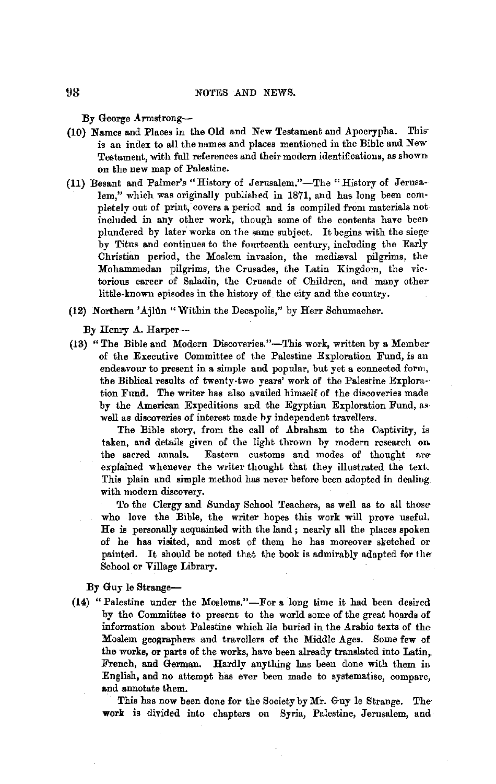**By George Armstrong--**

- (10) Names and Places in the Old and New Testament and Apocrypha. Thisis an index to all the names and places mentioned in the Bible and New Testament, with full references and their modern identifications, as shown on the new map of Palestine.
- (11) Besant and Palmer's "History of Jerusalem."-The "History of Jerusalem," which was originally published in 1871, and has long been completely out of print, covers a period and is compiled from materials not included in any other work, though some of the contents have been plundered by later works on the same subject. It begins with the siegeby Titus and continues to the fourteenth century, including the Early Christian period, the Moslem invasion, the mediaval pilgrims, the Mohammedan pilgrims, the Crusades, the Latin Kingdom, the victorious career of Saladin, the Crusade of Children, and many otherlittle-known episodes in the history of the city and the country.
- (12) Northern 'Ajhln "Within the Decapolis," by Herr Schumacher.

By Henry A. Harper--

(13) "The Bible and Modern Discoveries."-This work, written by a Member of the Executive Committee of the Palestine Exploration Fund, is an endeavour to present in a simple and popular, but yet a connected form, the Biblical results of twenty-two years' work of the Palestine Explora-· tion Fund. The writer has also availed himself of the discoveries made by the American Expeditions and the Egyptian Exploration Fund, aswell as discoveries of interest made hy independent travellers.

The Bible story, from the call of Abraham to the Captivity, is taken, and details given of the light thrown by modern research on the sacred annals. Eastern customs and modes of thought are Eastern customs and modes of thought are expiained whenever the writer thought that they illustrated the text. This plain and simple method has never before been adopted in dealing with modern discovery.

To the Clergy and Sunday School Teachers, as well as to all thosewho love the Bible, the writer hopes this work will prove useful. He is personally acquainted with the land; nearly all the places spoken of he has visited, and most of them he has moreover sketched or painted. It should be noted that the book is admirably adapted for the-School or Village Library.

By Guy le Strange-

(14) "Palestine under the Moslems."-For a long time it had been desired by the Committee to present to the world some of the great hoards of information about Palestine which lie buried in the Arabic texts of the Moslem geographers and travellers of the Middle Ages. Some few of the works, or parts of the works, have been already translated into Latin, French, and German. Hardly anything has been done with them in English, and no attempt has ever been made to systematise, compare, and annotate them.

This has now been done for the Society by Mr. Guy le Strange. The **work** is divided into chapters on Syria, Palestine, Jerusalem, and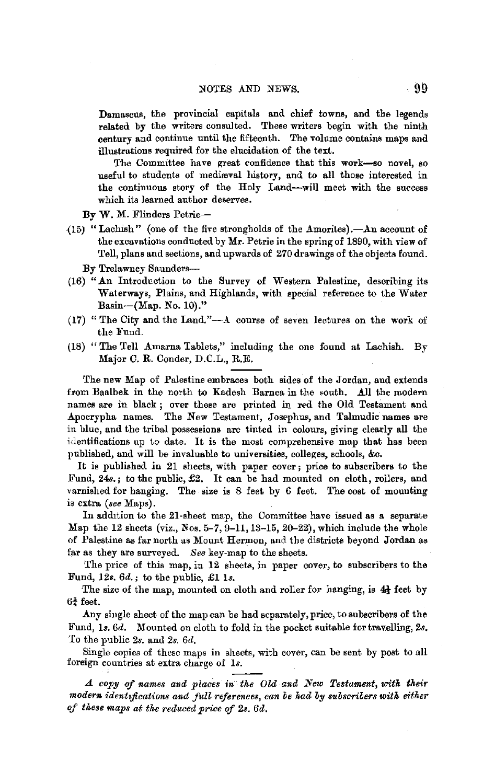Damascus, the provincial capitals and chief towns, and the legends related by the writers consulted. These writers begin with the ninth century and continue until the fifteenth. The volume contains maps and illustrations required for the elucidation of the text.

The Committee have great confidence that this work-so novel, so useful to students of medieval history, and to all those interested in the continuous story of the Holy Land-will meet with the success which its learned author deserves.

By W. M. Flinders Petrie-

 $(15)$  "Lachish" (one of the five strongholds of the Amorites).—An account of the excavations conducted by Mr. Petrie in the spring of 1890, with view of Tell, plans and sections, and upwards of 270 drawings of the objects found.

By Trelawney Saunders-

- (16) "An Introduction to the Survey of Western Palestine, describing its Waterways, Plains, and Highlands, with special reference to the Water Basin-(Map. No. 10)."
- (17) "The City and the Land."-A course of seven lectures on the work of the Fund.
- (18) "The Tell Amarna Tablets," including the one found at Lachish. By Major C. R. Conder, D.C.L., R.E.

The new Map of Palestine embraces both sides of the Jordan, and extends from Baalbek in the north to Kadesh Barnea in the south. All the modern names are in black ; over these are printed in red the Old Testament and Apocrypha names. The New Testament, Josephus, and Talmudic names are in blue, and the tribal possessions are tinted in colours, giving clearly all the identifications up to date. It is the most comprehensive map that has been published, and will be invaluable to universities, colleges, schools, &c.

It is published in 21 sheets, with paper cover; price to subscribers to the .Fund, 24s.; to the public, £2. It can be had mounted on cloth, rollers, and varnished for hanging. The size is  $8$  feet by  $6$  feet. The cost of mounting is extra *(see* Maps).

In addition to the 21-sheet map, the Committee have issued as a separate Map the 12 sheets (viz., Nos. 5-7, 9-11, 13-15, 20-22), which include the whole of Palestine as far north us Mount Hermon, and the districts beyond Jordan as far as they are surveyed. *See* key-map to the sheets.

The price of this map, in 12 sheets, in paper cover, to subscribers to the Fund, 12s. *6d.;* to the public, £1 ls.

The size of the map, mounted on cloth and roller for hanging, is  $4\frac{1}{2}$  feet by  $6\frac{3}{4}$  feet.

Any single sheet of the map can be had separately, price, to subscribers of the Fund, ls. *6d.* Mounted on cloth to fold in the pocket suitable for travelling, *2s.*  To the public *2s.* and *2s. 6d,* 

Single copies of these maps in sheets, with cover, can be sent by post to all foreign countries at extra charge of ls.

Ll. *cop!J of names and places in the Old and New Testament, witk their*  modern identifications and full references, can be had by subscribers with either *of these maps at tke reduced price of 2s. 6d.*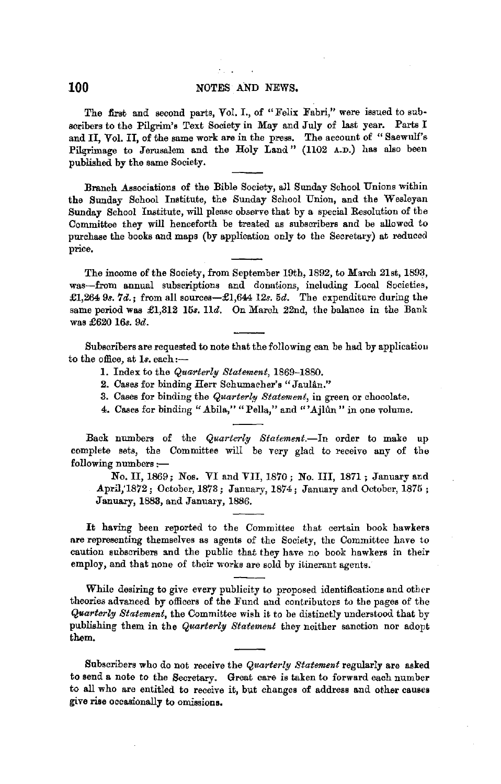## **100** NOTES AND NEWS,

The first and second parts, Vol. I., of "Felix Fabri," were issued to subscribers to the Pilgrim's Text Society in May and July of last year. Parts I and II, Vol. II, of the same work are in the press. The account of "Saewulf's Pilgrimage to Jerusalem and the Holy Land" (1102 A.D.) has also been published by the same Society.

Branch Associations of the Bible Society, all Sunday School Unions within the Sunday School Institute, the Sunday School Union, and the Wesleyan Sunday School Institute, will please observe that by a special Resolution of the Committee they will henceforth be treated as subscribers and be allowed to purchase the books and maps (by application only to the Secretary) at reduced price.

The income of the Society, from September 19th, 1892, to March 21st, 1893, was-from annual subscriptions and donations, including Local Societies, £1,264 9s. 7d.; from all sources-£1,644 12s. 5d. The expenditure during the same period was £1,312 15s. 11d. On March 22nd, the balance in the Bank was £620 16s. 9d.

Subscribers are requested to note that the following can be had by applicatiou to the office, at 1s. each:-

- **1.** Index to the *Quarterly Statement,* 1869-1880.
- 2. Cases for binding Herr Schumacher's "Jaulân."
- 3. Cases for binding the *Quarterly Statement,* in green or chocolate.
- 4. Cases for binding "Abila," "Pella," and "'Ajlun" in one volume.

Back numbers of the *Quarterly Statement*.-In order to make up complete sets, the Committee will be very glad to receive any of the following numbers :-

No. II, 1869; Nos. VI and YII, 1870; No. III, 1871; January and April,'1872; October, 1873; January, 1874; January and October, 1875 ; January, 1883, and January, 1886.

It having been reported to the Committee that certain book hawkers **are** representing themselves as agents of the Society, the Committee have to caution subscribers and the public that they have no book hawkers in their employ, and that none of their works are sold by itinerant agents.

While desiring to give every publicity to proposed identifications and other theories advanced by officers of the Fund and contributors to the pages of the *Quarterly Statement,* the Committee wish it to be distinctly understood that by publishing them in the *Quarterly Statement* they neither sanction nor adopt them.

Subscribers who do not receive the *Quarterly Statement* regularly are asked to send a note to the Secretary. Great care is taken to forward each number to all who are entitled to receive it, but changes of address and other causes give rise occasionally to omissions.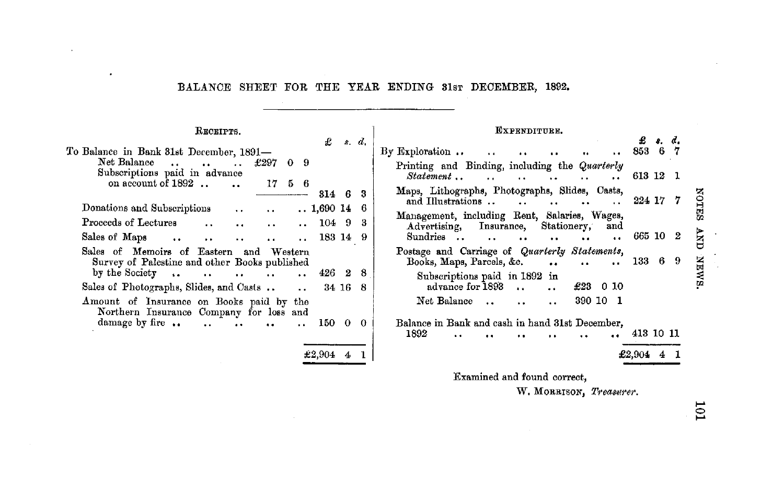### BALANCE SHEET FOR THE YEAR ENDING 31sr DECEMBER, 1892.

 $\pm 2,904$  4

RECEIPTS. £ .,. *d,*  To Balance in Bank 81st December, 1891-<br>Net Balance  $\ldots$   $\ldots$   $\ldots$   $\pounds$  297 0 9 Subscriptions paid in advance on account of  $1892$   $\ldots$   $\ldots$   $17$  5 6 814 6 8 Donations and Subscriptions •. 1,690 14 6  $\ddot{\phantom{a}}$ Proceeds of Lectures 104 9 8  $\ddot{\phantom{a}}$  .  $\ddot{\phantom{a}}$  $\ddot{\phantom{a}}$ Sales of Maps 183 14 9  $\ddot{\phantom{a}}$  $\ddot{\phantom{a}}$  $\ddot{\phantom{a}}$  $\ddot{\phantom{a}}$  $\ddot{\phantom{a}}$ Sales of Memoirs of Eastern and Western Survey of Palestine and other Books published by the Society .. 426 2 8  $\ddot{\phantom{a}}$  $\ddot{\phantom{a}}$  $\ddot{\phantom{a}}$  $\ddotsc$ Sales of Photographs, Slides, and Casts .. 34 16 8  $\ddot{\phantom{a}}$ Amount of Insurance on Books paid by the Northern Insurance Company for loss and damage by fire .. 150 0 0  $\ddot{\phantom{a}}$  $\ddot{\phantom{a}}$  $\ddot{\phantom{a}}$  $\sim 10^{-1}$ 

| EXPRNDITURE.                |                                                                                                           |           |   |    |              |  |
|-----------------------------|-----------------------------------------------------------------------------------------------------------|-----------|---|----|--------------|--|
|                             |                                                                                                           | £         |   | ₫. |              |  |
|                             | By Exploration $\ldots$                                                                                   | 853       | 6 | 7  |              |  |
|                             | Printing and Binding, including the Quarterly<br>Statement<br>$\sim$ $\sim$<br>$\ddot{\phantom{a}}$       | 613 12    |   | ı  |              |  |
|                             | Maps, Lithographs, Photographs, Slides, Casts,<br>and Illustrations                                       | 224 17    |   |    | <b>NOTES</b> |  |
|                             | Management, including Rent, Salaries, Wages,<br>Insurance, Stationery,<br>Advertising,<br>and<br>Sundries | 665 10    |   | 2  | ENF          |  |
|                             | Postage and Carriage of Quarterly Statements,<br>Books, Maps, Parcels, &c.<br>$\ddot{\phantom{a}}$        | 133       | 6 | 9  |              |  |
|                             | Subscriptions paid in 1892 in<br>advance for 1893<br>£23.<br>0 IO                                         |           |   |    | <b>SMAK</b>  |  |
|                             | Net Balance<br>390 10<br>- 1                                                                              |           |   |    |              |  |
|                             | Balance in Bank and cash in hand 31st December.                                                           |           |   |    |              |  |
|                             | 1892                                                                                                      | 413 10 11 |   |    |              |  |
|                             |                                                                                                           | £2,904    |   |    |              |  |
| Examined and found correct. |                                                                                                           |           |   |    |              |  |

W. MORRISON, *Treasurer*.

~ z ~ rn

10<sub>1</sub>